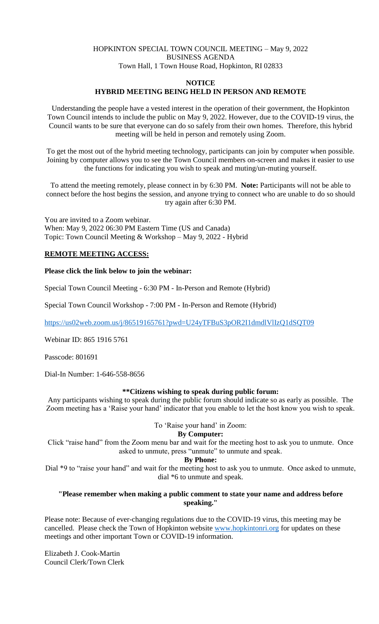# HOPKINTON SPECIAL TOWN COUNCIL MEETING – May 9, 2022 BUSINESS AGENDA Town Hall, 1 Town House Road, Hopkinton, RI 02833

#### **NOTICE**

### **HYBRID MEETING BEING HELD IN PERSON AND REMOTE**

Understanding the people have a vested interest in the operation of their government, the Hopkinton Town Council intends to include the public on May 9, 2022. However, due to the COVID-19 virus, the Council wants to be sure that everyone can do so safely from their own homes. Therefore, this hybrid meeting will be held in person and remotely using Zoom.

To get the most out of the hybrid meeting technology, participants can join by computer when possible. Joining by computer allows you to see the Town Council members on-screen and makes it easier to use the functions for indicating you wish to speak and muting/un-muting yourself.

To attend the meeting remotely, please connect in by 6:30 PM. **Note:** Participants will not be able to connect before the host begins the session, and anyone trying to connect who are unable to do so should try again after 6:30 PM.

You are invited to a Zoom webinar. When: May 9, 2022 06:30 PM Eastern Time (US and Canada) Topic: Town Council Meeting & Workshop – May 9, 2022 - Hybrid

# **REMOTE MEETING ACCESS:**

### **Please click the link below to join the webinar:**

Special Town Council Meeting - 6:30 PM - In-Person and Remote (Hybrid)

Special Town Council Workshop - 7:00 PM - In-Person and Remote (Hybrid)

<https://us02web.zoom.us/j/86519165761?pwd=U24yTFBuS3pOR2I1dmdlVlIzQ1dSQT09>

Webinar ID: 865 1916 5761

Passcode: 801691

Dial-In Number: 1-646-558-8656

#### **\*\*Citizens wishing to speak during public forum:**

Any participants wishing to speak during the public forum should indicate so as early as possible. The Zoom meeting has a 'Raise your hand' indicator that you enable to let the host know you wish to speak.

### To 'Raise your hand' in Zoom:

### **By Computer:**

Click "raise hand" from the Zoom menu bar and wait for the meeting host to ask you to unmute. Once asked to unmute, press "unmute" to unmute and speak.

**By Phone:**

Dial \*9 to "raise your hand" and wait for the meeting host to ask you to unmute. Once asked to unmute, dial \*6 to unmute and speak.

# **"Please remember when making a public comment to state your name and address before speaking."**

Please note: Because of ever-changing regulations due to the COVID-19 virus, this meeting may be cancelled. Please check the Town of Hopkinton website [www.hopkintonri.org](http://www.hopkintonri.org/) for updates on these meetings and other important Town or COVID-19 information.

Elizabeth J. Cook-Martin Council Clerk/Town Clerk